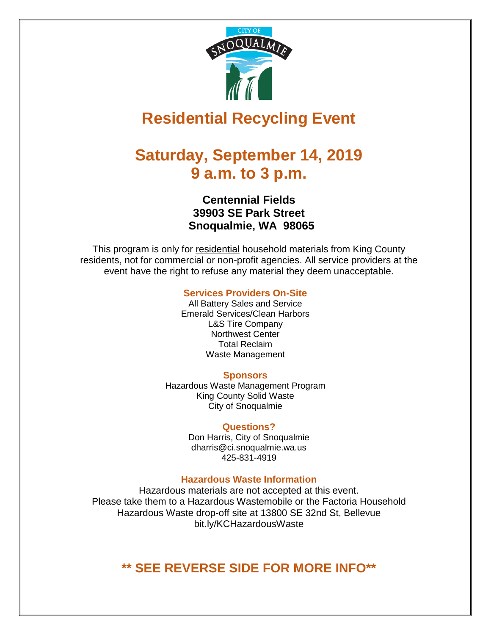

# **Residential Recycling Event**

# **Saturday, September 14, 2019 9 a.m. to 3 p.m.**

### **Centennial Fields 39903 SE Park Street Snoqualmie, WA 98065**

This program is only for residential household materials from King County residents, not for commercial or non-profit agencies. All service providers at the event have the right to refuse any material they deem unacceptable.

#### **Services Providers On-Site**

All Battery Sales and Service Emerald Services/Clean Harbors L&S Tire Company Northwest Center Total Reclaim Waste Management

#### **Sponsors**

Hazardous Waste Management Program King County Solid Waste City of Snoqualmie

#### **Questions?**

Don Harris, City of Snoqualmie [dharris@ci.snoqualmie.wa.us](mailto:dharris@ci.snoqualmie.wa.us) 425-831-4919

#### **Hazardous Waste Information**

Hazardous materials are not accepted at this event. Please take them to a Hazardous Wastemobile or the Factoria Household Hazardous Waste drop-off site at 13800 SE 32nd St, Bellevue bit.ly/KCHazardousWaste

## **\*\* SEE REVERSE SIDE FOR MORE INFO\*\***